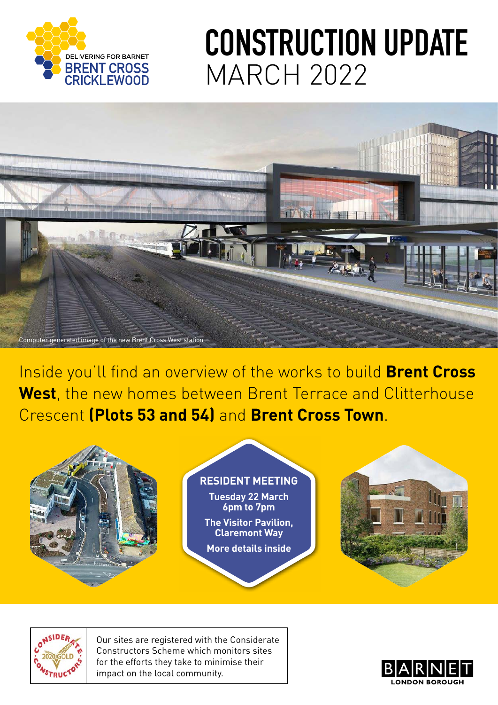

# **CONSTRUCTION UPDATE** MARCH 2022



Inside you'll find an overview of the works to build **Brent Cross West**, the new homes between Brent Terrace and Clitterhouse Crescent **(Plots 53 and 54)** and **Brent Cross Town**.



#### **RESIDENT MEETING**

**Tuesday 22 March 6pm to 7pm The Visitor Pavilion, Claremont Way More details inside**





Our sites are registered with the Considerate Constructors Scheme which monitors sites for the efforts they take to minimise their impact on the local community.

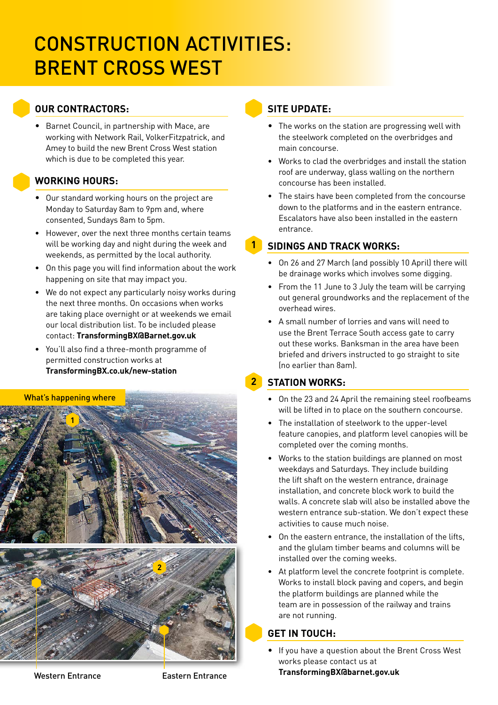### CONSTRUCTION ACTIVITIES: BRENT CROSS WEST

#### **OUR CONTRACTORS:**

• Barnet Council, in partnership with Mace, are working with Network Rail, VolkerFitzpatrick, and Amey to build the new Brent Cross West station which is due to be completed this year.

#### **WORKING HOURS:**

- Our standard working hours on the project are Monday to Saturday 8am to 9pm and, where consented, Sundays 8am to 5pm.
- However, over the next three months certain teams will be working day and night during the week and weekends, as permitted by the local authority.
- On this page you will find information about the work happening on site that may impact you.
- We do not expect any particularly noisy works during the next three months. On occasions when works are taking place overnight or at weekends we email our local distribution list. To be included please contact: **TransformingBX@Barnet.gov.uk**
- You'll also find a three-month programme of permitted construction works at **[TransformingBX.co.uk/new-station](http://TransformingBX.co.uk/new-station )**

#### What's happening where



#### **SITE UPDATE:**

**1**

- The works on the station are progressing well with the steelwork completed on the overbridges and main concourse.
- Works to clad the overbridges and install the station roof are underway, glass walling on the northern concourse has been installed.
- The stairs have been completed from the concourse down to the platforms and in the eastern entrance. Escalators have also been installed in the eastern entrance.

#### **SIDINGS AND TRACK WORKS:**

- On 26 and 27 March (and possibly 10 April) there will be drainage works which involves some digging.
- From the 11 June to 3 July the team will be carrying out general groundworks and the replacement of the overhead wires.
- A small number of lorries and vans will need to use the Brent Terrace South access gate to carry out these works. Banksman in the area have been briefed and drivers instructed to go straight to site (no earlier than 8am).

#### **STATION WORKS: 2**

- On the 23 and 24 April the remaining steel roofbeams will be lifted in to place on the southern concourse.
- The installation of steelwork to the upper-level feature canopies, and platform level canopies will be completed over the coming months.
- Works to the station buildings are planned on most weekdays and Saturdays. They include building the lift shaft on the western entrance, drainage installation, and concrete block work to build the walls. A concrete slab will also be installed above the western entrance sub-station. We don't expect these activities to cause much noise.
- On the eastern entrance, the installation of the lifts, and the glulam timber beams and columns will be installed over the coming weeks.
- At platform level the concrete footprint is complete. Works to install block paving and copers, and begin the platform buildings are planned while the team are in possession of the railway and trains are not running.

#### **GET IN TOUCH:**

• If you have a question about the Brent Cross West works please contact us at

**TransformingBX@barnet.gov.uk**

Western Entrance **Eastern Entrance**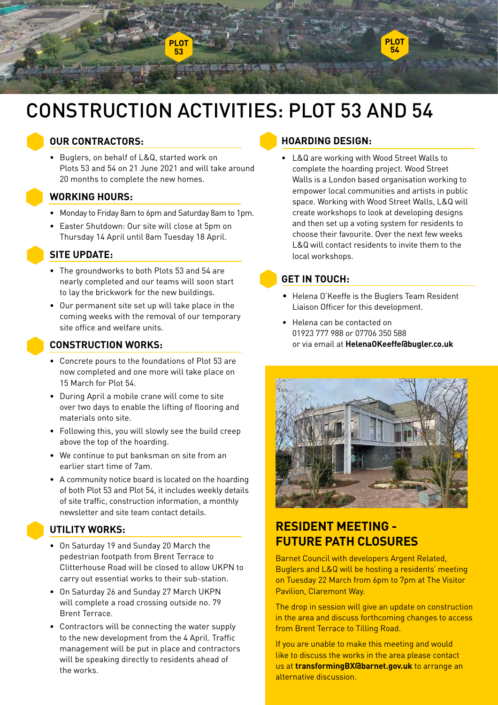

## CONSTRUCTION ACTIVITIES: PLOT 53 AND 54

#### **OUR CONTRACTORS:**

• Buglers, on behalf of L&Q, started work on Plots 53 and 54 on 21 June 2021 and will take around 20 months to complete the new homes.

#### **WORKING HOURS:**

- Monday to Friday 8am to 6pm and Saturday 8am to 1pm.
- •Easter Shutdown: Our site will close at 5pm on Thursday 14 April until 8am Tuesday 18 April.

#### **SITE UPDATE:**

- The groundworks to both Plots 53 and 54 are nearly completed and our teams will soon start to lay the brickwork for the new buildings.
- Our permanent site set up will take place in the coming weeks with the removal of our temporary site office and welfare units.



#### **CONSTRUCTION WORKS:**

- Concrete pours to the foundations of Plot 53 are now completed and one more will take place on 15 March for Plot 54.
- During April a mobile crane will come to site over two days to enable the lifting of flooring and materials onto site.
- Following this, you will slowly see the build creep above the top of the hoarding.
- We continue to put banksman on site from an earlier start time of 7am.
- A community notice board is located on the hoarding of both Plot 53 and Plot 54, it includes weekly details of site traffic, construction information, a monthly newsletter and site team contact details.

#### **UTILITY WORKS:**

- On Saturday 19 and Sunday 20 March the pedestrian footpath from Brent Terrace to Clitterhouse Road will be closed to allow UKPN to carry out essential works to their sub-station.
- On Saturday 26 and Sunday 27 March UKPN will complete a road crossing outside no. 79 Brent Terrace.
- Contractors will be connecting the water supply to the new development from the 4 April. Traffic management will be put in place and contractors will be speaking directly to residents ahead of the works.

#### **HOARDING DESIGN:**

• L&Q are working with Wood Street Walls to complete the hoarding project. Wood Street Walls is a London based organisation working to empower local communities and artists in public space. Working with Wood Street Walls, L&Q will create workshops to look at developing designs and then set up a voting system for residents to choose their favourite. Over the next few weeks L&Q will contact residents to invite them to the local workshops.

#### **GET IN TOUCH:**

- Helena O'Keeffe is the Buglers Team Resident Liaison Officer for this development.
- Helena can be contacted on 01923 777 988 or 07706 350 588 or via email at **[HelenaOKeeffe@bugler.co.uk](mailto:HelenaOKeeffe%40bugler.co.uk?subject=)**



### **RESIDENT MEETING - FUTURE PATH CLOSURES**

Barnet Council with developers Argent Related, Buglers and L&Q will be hosting a residents' meeting on Tuesday 22 March from 6pm to 7pm at The Visitor Pavilion, Claremont Way.

The drop in session will give an update on construction in the area and discuss forthcoming changes to access from Brent Terrace to Tilling Road.

If you are unable to make this meeting and would like to discuss the works in the area please contact us at **transformingBX@barnet.gov.uk** to arrange an alternative discussion.